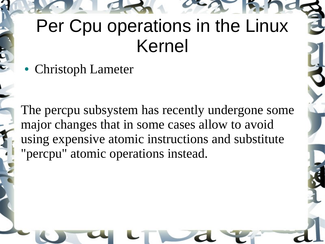#### Per Cpu operations in the Linux Kernel

• Christoph Lameter

The percpu subsystem has recently undergone some major changes that in some cases allow to avoid using expensive atomic instructions and substitute "percpu" atomic operations instead.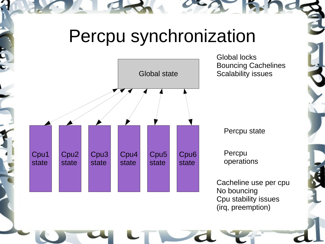#### Percpu synchronization



Global locks Bouncing Cachelines Scalability issues

Percpu state

Percpu operations

Cacheline use per cpu No bouncing Cpu stability issues (irq, preemption)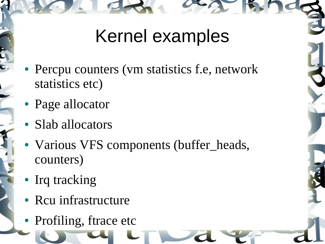### Kernel examples

- Percpu counters (vm statistics f.e, network statistics etc)
- Page allocator
- Slab allocators
- Various VFS components (buffer\_heads, counters)
- Irq tracking
- Rcu infrastructure
- Profiling, ftrace etc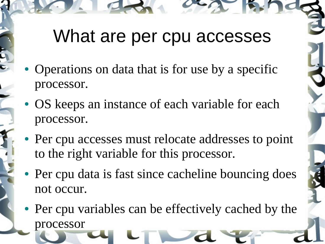#### What are per cpu accesses

- Operations on data that is for use by a specific processor.
- OS keeps an instance of each variable for each processor.
- Per cpu accesses must relocate addresses to point to the right variable for this processor.
- Per cpu data is fast since cacheline bouncing does not occur.
- Per cpu variables can be effectively cached by the processor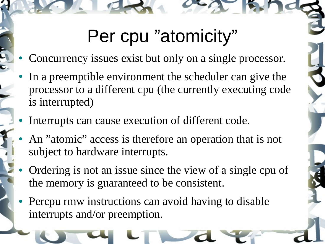## Per cpu "atomicity"

- Concurrency issues exist but only on a single processor.
- In a preemptible environment the scheduler can give the processor to a different cpu (the currently executing code is interrupted)
- Interrupts can cause execution of different code.
- An "atomic" access is therefore an operation that is not subject to hardware interrupts.
- Ordering is not an issue since the view of a single cpu of the memory is guaranteed to be consistent.
- Percpu rmw instructions can avoid having to disable interrupts and/or preemption.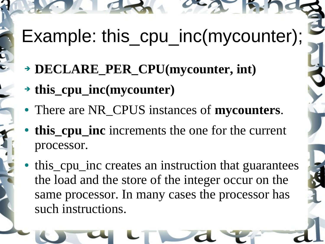Example: this\_cpu\_inc(mycounter);

- ➔ **DECLARE\_PER\_CPU(mycounter, int)**
- ➔ **this\_cpu\_inc(mycounter)**
- There are NR\_CPUS instances of **mycounters**.
- **this\_cpu\_inc** increments the one for the current processor.
- this cpu inc creates an instruction that guarantees the load and the store of the integer occur on the same processor. In many cases the processor has such instructions.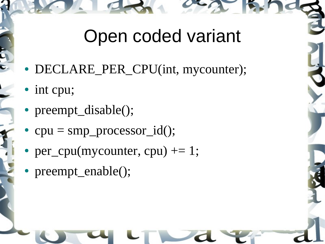#### Open coded variant

- DECLARE\_PER\_CPU(int, mycounter);
- int cpu;
- preempt\_disable();
- $cpu = smp\_processor_id();$
- per\_cpu(mycounter, cpu)  $+= 1$ ;
- preempt\_enable();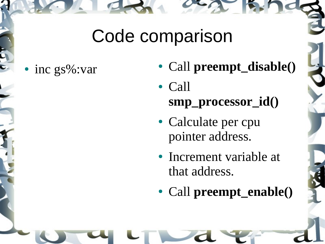#### Code comparison

- 
- inc gs%:var **•** Call **preempt\_disable()** 
	- Call **smp\_processor\_id()**
	- Calculate per cpu pointer address.
	- Increment variable at that address.
	- Call **preempt\_enable()**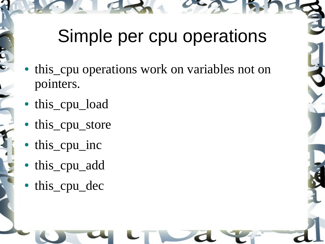# Simple per cpu operations

- this cpu operations work on variables not on pointers.
- this\_cpu\_load
- this\_cpu\_store
- this\_cpu\_inc
- this\_cpu\_add
- this\_cpu\_dec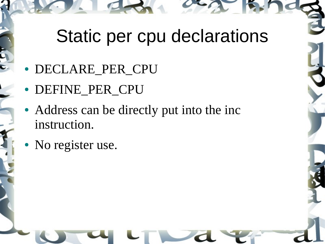### Static per cpu declarations

- DECLARE\_PER\_CPU
- DEFINE PER CPU
- Address can be directly put into the inc instruction.
- No register use.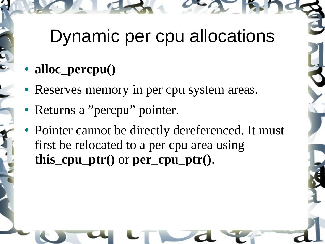### Dynamic per cpu allocations

#### • **alloc\_percpu()**

- Reserves memory in per cpu system areas.
- Returns a "percpu" pointer.
- Pointer cannot be directly dereferenced. It must first be relocated to a per cpu area using **this\_cpu\_ptr()** or **per\_cpu\_ptr()**.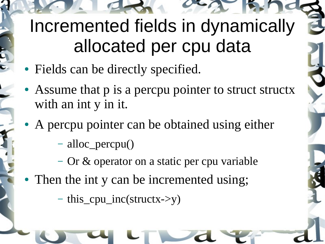# Incremented fields in dynamically allocated per cpu data

- Fields can be directly specified.
- Assume that p is a percpu pointer to struct structx with an int y in it.
- A percpu pointer can be obtained using either
	- alloc\_percpu()
	- Or & operator on a static per cpu variable
- Then the int y can be incremented using;
	- this\_cpu\_inc(structx->y)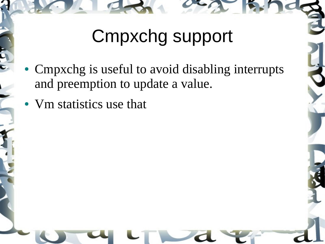# Cmpxchg support

- Cmpxchg is useful to avoid disabling interrupts and preemption to update a value.
- Vm statistics use that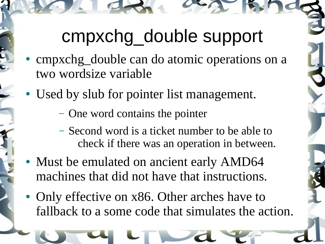# cmpxchg\_double support

- cmpxchg\_double can do atomic operations on a two wordsize variable
- Used by slub for pointer list management.
	- One word contains the pointer
	- Second word is a ticket number to be able to check if there was an operation in between.
- Must be emulated on ancient early AMD64 machines that did not have that instructions.
- Only effective on x86. Other arches have to fallback to a some code that simulates the action.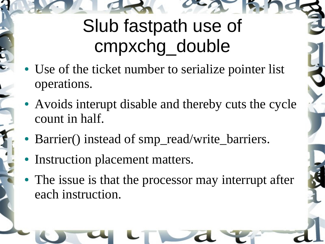# Slub fastpath use of cmpxchg\_double

- Use of the ticket number to serialize pointer list operations.
- Avoids interupt disable and thereby cuts the cycle count in half.
- Barrier() instead of smp\_read/write\_barriers.
- Instruction placement matters.
- The issue is that the processor may interrupt after each instruction.